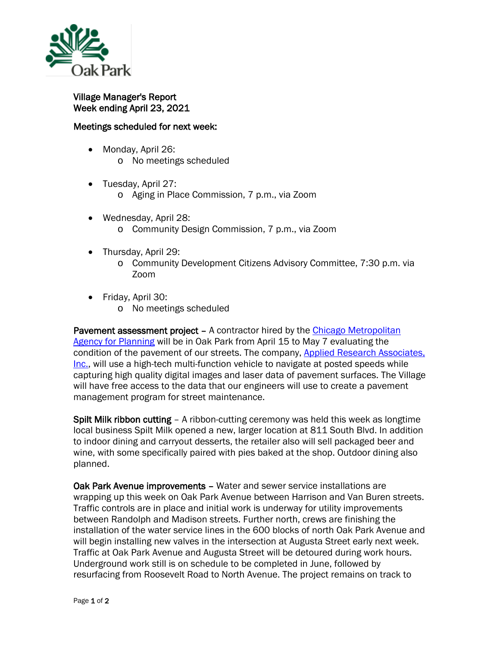

## Village Manager's Report Week ending April 23, 2021

## Meetings scheduled for next week:

- Monday, April 26: o No meetings scheduled
- Tuesday, April 27:
	- o Aging in Place Commission, 7 p.m., via Zoom
- Wednesday, April 28: o Community Design Commission, 7 p.m., via Zoom
- Thursday, April 29:
	- o Community Development Citizens Advisory Committee, 7:30 p.m. via Zoom
- Friday, April 30:
	- o No meetings scheduled

Pavement assessment project – A contractor hired by the Chicago Metropolitan [Agency for Planning](https://www.cmap.illinois.gov/) will be in Oak Park from April 15 to May 7 evaluating the condition of the pavement of our streets. The company, [Applied Research Associates,](https://www.ara.com/pavement-engineering-testing/)  [Inc.,](https://www.ara.com/pavement-engineering-testing/) will use a high-tech multi-function vehicle to navigate at posted speeds while capturing high quality digital images and laser data of pavement surfaces. The Village will have free access to the data that our engineers will use to create a pavement management program for street maintenance.

Spilt Milk ribbon cutting – A ribbon-cutting ceremony was held this week as longtime local business Spilt Milk opened a new, larger location at 811 South Blvd. In addition to indoor dining and carryout desserts, the retailer also will sell packaged beer and wine, with some specifically paired with pies baked at the shop. Outdoor dining also planned.

Oak Park Avenue improvements – Water and sewer service installations are wrapping up this week on Oak Park Avenue between Harrison and Van Buren streets. Traffic controls are in place and initial work is underway for utility improvements between Randolph and Madison streets. Further north, crews are finishing the installation of the water service lines in the 600 blocks of north Oak Park Avenue and will begin installing new valves in the intersection at Augusta Street early next week. Traffic at Oak Park Avenue and Augusta Street will be detoured during work hours. Underground work still is on schedule to be completed in June, followed by resurfacing from Roosevelt Road to North Avenue. The project remains on track to